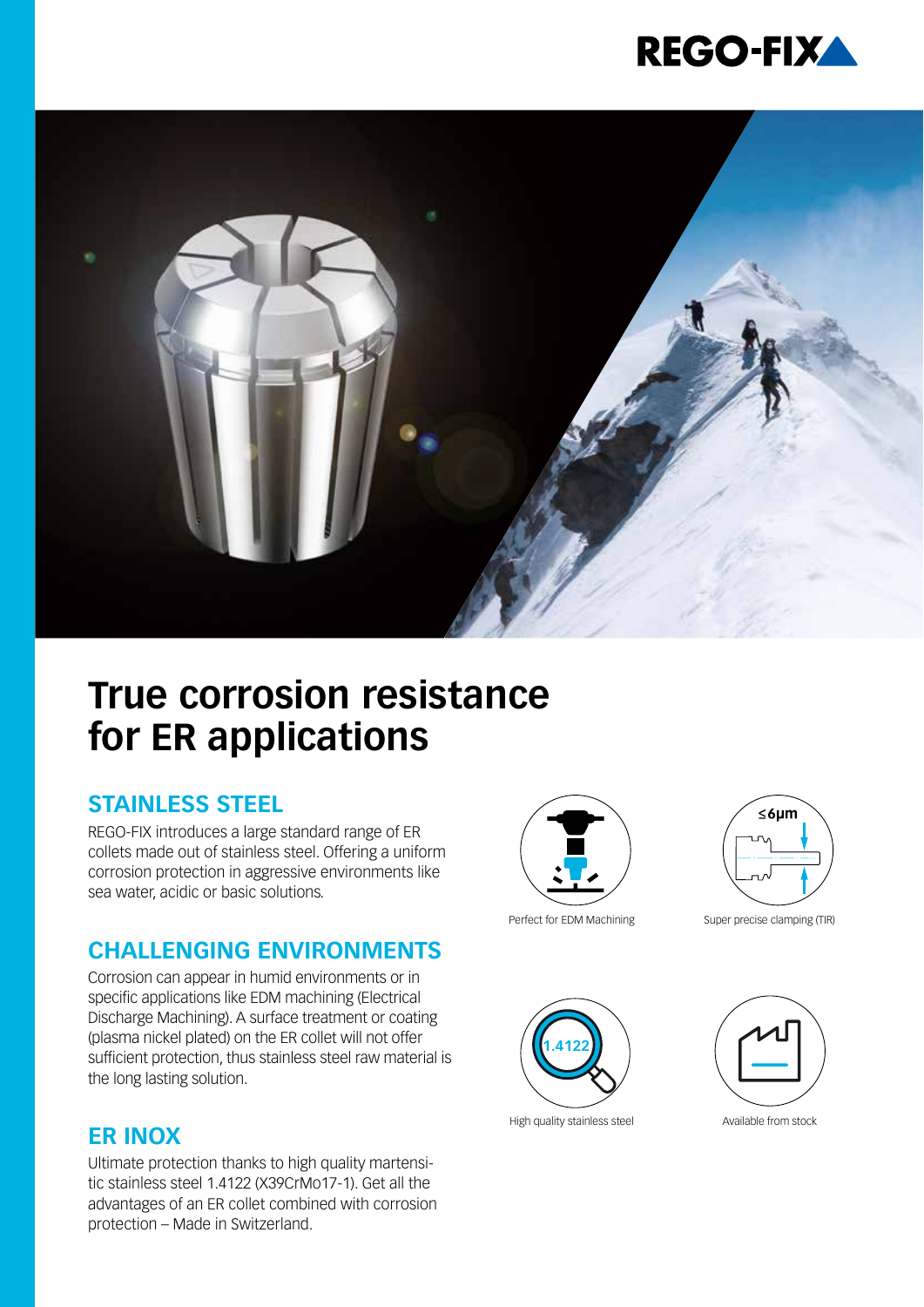



# **True corrosion resistance for ER applications**

#### **STAINLESS STEEL**

REGO-FIX introduces a large standard range of ER collets made out of stainless steel. Offering a uniform corrosion protection in aggressive environments like sea water, acidic or basic solutions.

#### **CHALLENGING ENVIRONMENTS**

Corrosion can appear in humid environments or in specific applications like EDM machining (Electrical Discharge Machining). A surface treatment or coating (plasma nickel plated) on the ER collet will not offer sufficient protection, thus stainless steel raw material is the long lasting solution.

#### **ER INOX**

Ultimate protection thanks to high quality martensitic stainless steel 1.4122 (X39CrMo17-1). Get all the advantages of an ER collet combined with corrosion protection – Made in Switzerland.





Perfect for EDM Machining Super precise clamping (TIR)